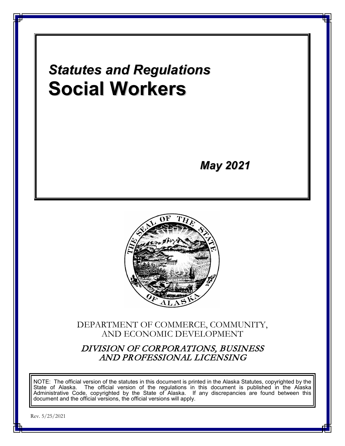

Rev. 5/25/2021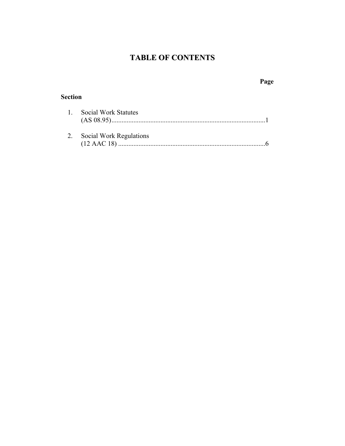# **TABLE OF CONTENTS**

# **Page**

# **Section**

| 1. Social Work Statutes    |
|----------------------------|
|                            |
|                            |
| 2. Social Work Regulations |
|                            |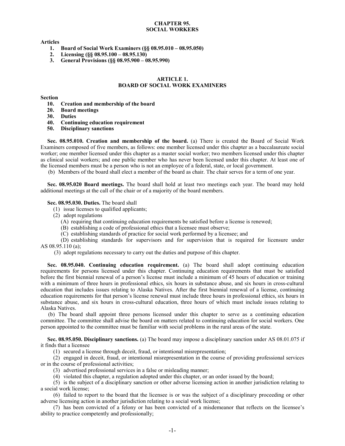### **CHAPTER 95. SOCIAL WORKERS**

**Articles**

- **1. Board of Social Work Examiners (§§ 08.95.010 – 08.95.050)**
- **2. Licensing (§§ 08.95.100 – 08.95.130)**
- **3. General Provisions (§§ 08.95.900 – 08.95.990)**

# **ARTICLE 1. BOARD OF SOCIAL WORK EXAMINERS**

#### **Section**

- **10. Creation and membership of the board**
- **20. Board meetings**
- **30. Duties**
- **40. Continuing education requirement**
- **50. Disciplinary sanctions**

**Sec. 08.95.010. Creation and membership of the board.** (a) There is created the Board of Social Work Examiners composed of five members, as follows: one member licensed under this chapter as a baccalaureate social worker; one member licensed under this chapter as a master social worker; two members licensed under this chapter as clinical social workers; and one public member who has never been licensed under this chapter. At least one of the licensed members must be a person who is not an employee of a federal, state, or local government.

(b) Members of the board shall elect a member of the board as chair. The chair serves for a term of one year.

**Sec. 08.95.020 Board meetings.** The board shall hold at least two meetings each year. The board may hold additional meetings at the call of the chair or of a majority of the board members.

#### **Sec. 08.95.030. Duties.** The board shall

(1) issue licenses to qualified applicants;

- (2) adopt regulations
	- (A) requiring that continuing education requirements be satisfied before a license is renewed;
	- (B) establishing a code of professional ethics that a licensee must observe;
	- (C) establishing standards of practice for social work performed by a licensee; and

(D) establishing standards for supervisors and for supervision that is required for licensure under AS 08.95.110 (a);

(3) adopt regulations necessary to carry out the duties and purpose of this chapter.

**Sec. 08.95.040. Continuing education requirement.** (a) The board shall adopt continuing education requirements for persons licensed under this chapter. Continuing education requirements that must be satisfied before the first biennial renewal of a person's license must include a minimum of 45 hours of education or training with a minimum of three hours in professional ethics, six hours in substance abuse, and six hours in cross-cultural education that includes issues relating to Alaska Natives. After the first biennial renewal of a license, continuing education requirements for that person's license renewal must include three hours in professional ethics, six hours in substance abuse, and six hours in cross-cultural education, three hours of which must include issues relating to Alaska Natives.

(b) The board shall appoint three persons licensed under this chapter to serve as a continuing education committee. The committee shall advise the board on matters related to continuing education for social workers. One person appointed to the committee must be familiar with social problems in the rural areas of the state.

**Sec. 08.95.050. Disciplinary sanctions.** (a) The board may impose a disciplinary sanction under AS 08.01.075 if it finds that a licensee

(1) secured a license through deceit, fraud, or intentional misrepresentation;

(2) engaged in deceit, fraud, or intentional misrepresentation in the course of providing professional services or in the course of professional activities;

(3) advertised professional services in a false or misleading manner;

(4) violated this chapter, a regulation adopted under this chapter, or an order issued by the board;

(5) is the subject of a disciplinary sanction or other adverse licensing action in another jurisdiction relating to a social work license;

(6) failed to report to the board that the licensee is or was the subject of a disciplinary proceeding or other adverse licensing action in another jurisdiction relating to a social work license;

(7) has been convicted of a felony or has been convicted of a misdemeanor that reflects on the licensee's ability to practice competently and professionally;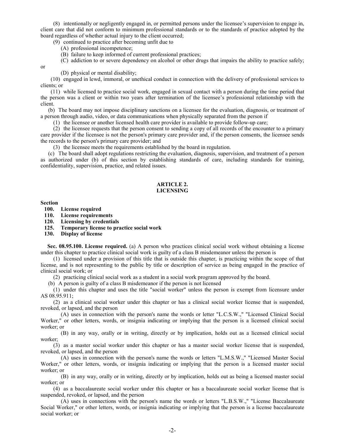(8) intentionally or negligently engaged in, or permitted persons under the licensee's supervision to engage in, client care that did not conform to minimum professional standards or to the standards of practice adopted by the board regardless of whether actual injury to the client occurred;

(9) continued to practice after becoming unfit due to

- (A) professional incompetence;
- (B) failure to keep informed of current professional practices;

(C) addiction to or severe dependency on alcohol or other drugs that impairs the ability to practice safely;

or

(D) physical or mental disability;

(10) engaged in lewd, immoral, or unethical conduct in connection with the delivery of professional services to clients; or

(11) while licensed to practice social work, engaged in sexual contact with a person during the time period that the person was a client or within two years after termination of the licensee's professional relationship with the client.

(b) The board may not impose disciplinary sanctions on a licensee for the evaluation, diagnosis, or treatment of a person through audio, video, or data communications when physically separated from the person if

(1) the licensee or another licensed health care provider is available to provide follow-up care;

(2) the licensee requests that the person consent to sending a copy of all records of the encounter to a primary care provider if the licensee is not the person's primary care provider and, if the person consents, the licensee sends the records to the person's primary care provider; and

(3) the licensee meets the requirements established by the board in regulation.

(c) The board shall adopt regulations restricting the evaluation, diagnosis, supervision, and treatment of a person as authorized under (b) of this section by establishing standards of care, including standards for training, confidentiality, supervision, practice, and related issues.

#### **ARTICLE 2. LICENSING**

**Section**

- **100. License required**
- **110. License requirements**
- **120. Licensing by credentials**
- **125. Temporary license to practice social work**
- **130. Display of license**

**Sec. 08.95.100. License required.** (a) A person who practices clinical social work without obtaining a license under this chapter to practice clinical social work is guilty of a class B misdemeanor unless the person is

(1) licensed under a provision of this title that is outside this chapter, is practicing within the scope of that license, and is not representing to the public by title or description of service as being engaged in the practice of clinical social work; or

(2) practicing clinical social work as a student in a social work program approved by the board.

(b) A person is guilty of a class B misdemeanor if the person is not licensed

(1) under this chapter and uses the title "social worker" unless the person is exempt from licensure under AS 08.95.911;

(2) as a clinical social worker under this chapter or has a clinical social worker license that is suspended, revoked, or lapsed, and the person

(A) uses in connection with the person's name the words or letter "L.C.S.W.," "Licensed Clinical Social Worker," or other letters, words, or insignia indicating or implying that the person is a licensed clinical social worker; or

(B) in any way, orally or in writing, directly or by implication, holds out as a licensed clinical social worker;

(3) as a master social worker under this chapter or has a master social worker license that is suspended, revoked, or lapsed, and the person

(A) uses in connection with the person's name the words or letters "L.M.S.W.," "Licensed Master Social Worker," or other letters, words, or insignia indicating or implying that the person is a licensed master social worker; or

(B) in any way, orally or in writing, directly or by implication, holds out as being a licensed master social worker; or

(4) as a baccalaureate social worker under this chapter or has a baccalaureate social worker license that is suspended, revoked, or lapsed, and the person

(A) uses in connections with the person's name the words or letters "L.B.S.W.," "License Baccalaureate Social Worker," or other letters, words, or insignia indicating or implying that the person is a license baccalaureate social worker; or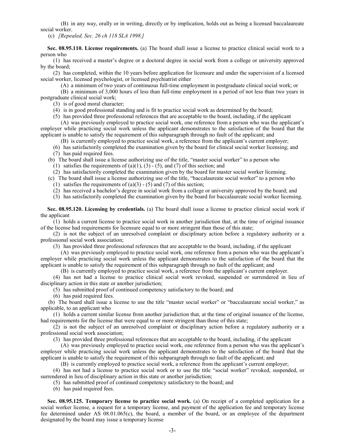(B) in any way, orally or in writing, directly or by implication, holds out as being a licensed baccalaureate social worker.

(c) *[Repealed, Sec. 26 ch 118 SLA 1998.]*

**Sec. 08.95.110. License requirements.** (a) The board shall issue a license to practice clinical social work to a person who

(1) has received a master's degree or a doctoral degree in social work from a college or university approved by the board;

(2) has completed, within the 10 years before application for licensure and under the supervision of a licensed social worker, licensed psychologist, or licensed psychiatrist either

(A) a minimum of two years of continuous full-time employment in postgraduate clinical social work; or

(B) a minimum of 3,000 hours of less than full-time employment in a period of not less than two years in postgraduate clinical social work;

(3) is of good moral character;

(4) is in good professional standing and is fit to practice social work as determined by the board;

(5) has provided three professional references that are acceptable to the board, including, if the applicant

(A) was previously employed to practice social work, one reference from a person who was the applicant's employer while practicing social work unless the applicant demonstrates to the satisfaction of the board that the applicant is unable to satisfy the requirement of this subparagraph through no fault of the applicant; and

(B) is currently employed to practice social work, a reference from the applicant's current employer;

- (6) has satisfactorily completed the examination given by the board for clinical social worker licensing; and
- (7) has paid required fees.

(b) The board shall issue a license authorizing use of the title, "master social worker" to a person who

(1) satisfies the requirements of  $(a)(1)$ ,  $(3)$  -  $(5)$ , and  $(7)$  of this section; and

(2) has satisfactorily completed the examination given by the board for master social worker licensing.

- (c) The board shall issue a license authorizing use of the title, "baccalaureate social worker" to a person who
	- (1) satisfies the requirements of  $(a)(3) (5)$  and  $(7)$  of this section;
	- (2) has received a bachelor's degree in social work from a college or university approved by the board; and

(3) has satisfactorily completed the examination given by the board for baccalaureate social worker licensing.

**Sec. 08.95.120. Licensing by credentials.** (a) The board shall issue a license to practice clinical social work if the applicant

(1) holds a current license to practice social work in another jurisdiction that, at the time of original issuance of the license had requirements for licensure equal to or more stringent than those of this state;

(2) is not the subject of an unresolved complaint or disciplinary action before a regulatory authority or a professional social work association;

(3) has provided three professional references that are acceptable to the board, including, if the applicant

(A) was previously employed to practice social work, one reference from a person who was the applicant's employer while practicing social work unless the applicant demonstrates to the satisfaction of the board that the applicant is unable to satisfy the requirement of this subparagraph through no fault of the applicant; and

(B) is currently employed to practice social work, a reference from the applicant's current employer.

(4) has not had a license to practice clinical social work revoked, suspended or surrendered in lieu of disciplinary action in this state or another jurisdiction;

(5) has submitted proof of continued competency satisfactory to the board; and

(6) has paid required fees.

(b) The board shall issue a license to use the title "master social worker" or "baccalaureate social worker," as applicable, to an applicant who

(1) holds a current similar license from another jurisdiction that, at the time of original issuance of the license, had requirements for the license that were equal to or more stringent than those of this state;

(2) is not the subject of an unresolved complaint or disciplinary action before a regulatory authority or a professional social work association;

(3) has provided three professional references that are acceptable to the board, including, if the applicant

(A) was previously employed to practice social work, one reference from a person who was the applicant's employer while practicing social work unless the applicant demonstrates to the satisfaction of the board that the applicant is unable to satisfy the requirement of this subparagraph through no fault of the applicant; and

(B) is currently employed to practice social work, a reference from the applicant's current employer;

(4) has not had a license to practice social work or to use the title "social worker" revoked, suspended, or surrendered in lieu of disciplinary action in this state or another jurisdiction;

(5) has submitted proof of continued competency satisfactory to the board; and

(6) has paid required fees.

**Sec. 08.95.125. Temporary license to practice social work.** (a) On receipt of a completed application for a social worker license, a request for a temporary license, and payment of the application fee and temporary license fee determined under AS 08.01.065(c), the board, a member of the board, or an employee of the department designated by the board may issue a temporary license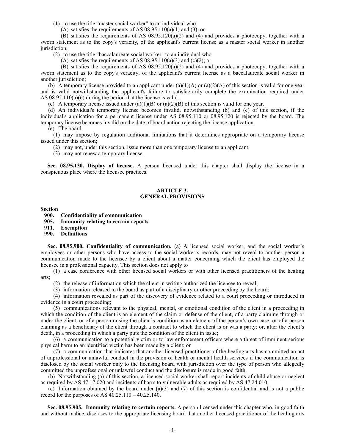(1) to use the title "master social worker" to an individual who

(A) satisfies the requirements of AS  $08.95.110(a)(1)$  and  $(3)$ ; or

(B) satisfies the requirements of AS 08.95.120(a)(2) and (4) and provides a photocopy, together with a sworn statement as to the copy's veracity, of the applicant's current license as a master social worker in another jurisdiction;

(2) to use the title "baccalaureate social worker" to an individual who

(A) satisfies the requirements of AS  $08.95.110(a)(3)$  and  $(c)(2)$ ; or

(B) satisfies the requirements of AS 08.95.120(a)(2) and (4) and provides a photocopy, together with a sworn statement as to the copy's veracity, of the applicant's current license as a baccalaureate social worker in another jurisdiction;

(b) A temporary license provided to an applicant under (a)(1)(A) or (a)(2)(A) of this section is valid for one year and is valid notwithstanding the applicant's failure to satisfactorily complete the examination required under AS 08.95.110(a)(6) during the period that the license is valid.

(c) A temporary license issued under  $(a)(1)(B)$  or  $(a)(2)(B)$  of this section is valid for one year.

(d) An individual's temporary license becomes invalid, notwithstanding (b) and (c) of this section, if the individual's application for a permanent license under AS 08.95.110 or 08.95.120 is rejected by the board. The temporary license becomes invalid on the date of board action rejecting the license application.

(e) The board

(1) may impose by regulation additional limitations that it determines appropriate on a temporary license issued under this section;

(2) may not, under this section, issue more than one temporary license to an applicant;

(3) may not renew a temporary license.

**Sec. 08.95.130. Display of license.** A person licensed under this chapter shall display the license in a conspicuous place where the licensee practices.

### **ARTICLE 3. GENERAL PROVISIONS**

#### **Section**

**900. Confidentiality of communication**

**905. Immunity relating to certain reports**

**911. Exemption**

**990. Definitions**

**Sec. 08.95.900. Confidentiality of communication.** (a) A licensed social worker, and the social worker's employees or other persons who have access to the social worker's records, may not reveal to another person a communication made to the licensee by a client about a matter concerning which the client has employed the licensee in a professional capacity. This section does not apply to

(1) a case conference with other licensed social workers or with other licensed practitioners of the healing arts;

(2) the release of information which the client in writing authorized the licensee to reveal;

(3) information released to the board as part of a disciplinary or other proceeding by the board;

(4) information revealed as part of the discovery of evidence related to a court proceeding or introduced in evidence in a court proceeding;

(5) communications relevant to the physical, mental, or emotional condition of the client in a proceeding in which the condition of the client is an element of the claim or defense of the client, of a party claiming through or under the client, or of a person raising the client's condition as an element of the person's own case, or of a person claiming as a beneficiary of the client through a contract to which the client is or was a party; or, after the client's death, in a proceeding in which a party puts the condition of the client in issue;

(6) a communication to a potential victim or to law enforcement officers where a threat of imminent serious physical harm to an identified victim has been made by a client; or

(7) a communication that indicates that another licensed practitioner of the healing arts has committed an act of unprofessional or unlawful conduct in the provision of health or mental health services if the communication is disclosed by the social worker only to the licensing board with jurisdiction over the type of person who allegedly committed the unprofessional or unlawful conduct and the disclosure is made in good faith.

(b) Notwithstanding (a) of this section, a licensed social worker shall report incidents of child abuse or neglect as required by AS 47.17.020 and incidents of harm to vulnerable adults as required by AS 47.24.010.

(c) Information obtained by the board under  $(a)(3)$  and  $(7)$  of this section is confidential and is not a public record for the purposes of AS  $40.25.110 - 40.25.140$ .

**Sec. 08.95.905. Immunity relating to certain reports.** A person licensed under this chapter who, in good faith and without malice, discloses to the appropriate licensing board that another licensed practitioner of the healing arts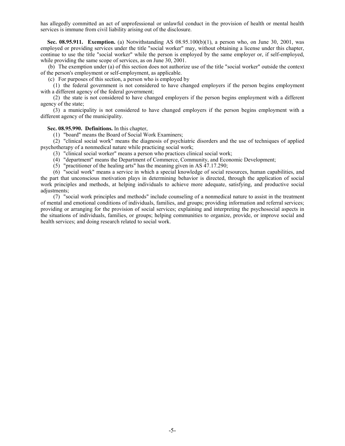has allegedly committed an act of unprofessional or unlawful conduct in the provision of health or mental health services is immune from civil liability arising out of the disclosure.

**Sec. 08.95.911. Exemption.** (a) Notwithstanding AS 08.95.100(b)(1), a person who, on June 30, 2001, was employed or providing services under the title "social worker" may, without obtaining a license under this chapter, continue to use the title "social worker" while the person is employed by the same employer or, if self-employed, while providing the same scope of services, as on June 30, 2001.

(b) The exemption under (a) of this section does not authorize use of the title "social worker" outside the context of the person's employment or self-employment, as applicable.

(c) For purposes of this section, a person who is employed by

(1) the federal government is not considered to have changed employers if the person begins employment with a different agency of the federal government;

(2) the state is not considered to have changed employers if the person begins employment with a different agency of the state;

(3) a municipality is not considered to have changed employers if the person begins employment with a different agency of the municipality.

## **Sec. 08.95.990. Definitions.** In this chapter,

(1) "board" means the Board of Social Work Examiners;

(2) "clinical social work" means the diagnosis of psychiatric disorders and the use of techniques of applied psychotherapy of a nonmedical nature while practicing social work;

(3) "clinical social worker" means a person who practices clinical social work;

(4) "department" means the Department of Commerce, Community, and Economic Development;

(5) "practitioner of the healing arts" has the meaning given in AS 47.17.290;

(6) "social work" means a service in which a special knowledge of social resources, human capabilities, and the part that unconscious motivation plays in determining behavior is directed, through the application of social work principles and methods, at helping individuals to achieve more adequate, satisfying, and productive social adjustments;

(7) "social work principles and methods" include counseling of a nonmedical nature to assist in the treatment of mental and emotional conditions of individuals, families, and groups; providing information and referral services; providing or arranging for the provision of social services; explaining and interpreting the psychosocial aspects in the situations of individuals, families, or groups; helping communities to organize, provide, or improve social and health services; and doing research related to social work.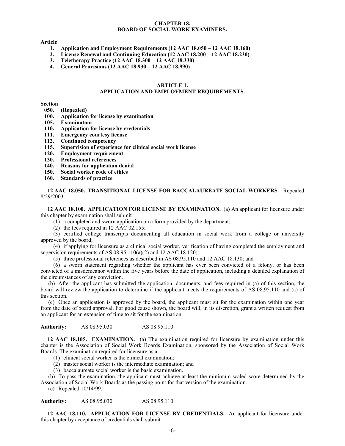### **CHAPTER 18. BOARD OF SOCIAL WORK EXAMINERS.**

**Article**

- **1. Application and Employment Requirements (12 AAC 18.050 – 12 AAC 18.160)**
- **2. License Renewal and Continuing Education (12 AAC 18.200 – 12 AAC 18.230)**
- **3. Teletherapy Practice (12 AAC 18.300 – 12 AAC 18.330)**
- **4. General Provisions (12 AAC 18.930 – 12 AAC 18.990)**

#### **ARTICLE 1. APPLICATION AND EMPLOYMENT REQUIREMENTS.**

**Section**

- **050. (Repealed)**
- **100. Application for license by examination**
- **105. Examination**
- **110. Application for license by credentials**
- **111. Emergency courtesy license**
- **112. Continued competency**
- **115. Supervision of experience for clinical social work license**
- **120. Employment requirement**
- **130. Professional references**
- **140. Reasons for application denial**
- **150. Social worker code of ethics**
- **160. Standards of practice**

**12 AAC 18.050. TRANSITIONAL LICENSE FOR BACCALAUREATE SOCIAL WORKERS.** Repealed 8/29/2003.

**12 AAC 18.100. APPLICATION FOR LICENSE BY EXAMINATION.** (a) An applicant for licensure under this chapter by examination shall submit

(1) a completed and sworn application on a form provided by the department;

(2) the fees required in 12 AAC 02.155;

(3) certified college transcripts documenting all education in social work from a college or university approved by the board;

(4) if applying for licensure as a clinical social worker, verification of having completed the employment and supervision requirements of AS 08.95.110(a)(2) and 12 AAC 18.120;

(5) three professional references as described in AS 08.95.110 and 12 AAC 18.130; and

(6) a sworn statement regarding whether the applicant has ever been convicted of a felony, or has been convicted of a misdemeanor within the five years before the date of application, including a detailed explanation of the circumstances of any conviction.

(b) After the applicant has submitted the application, documents, and fees required in (a) of this section, the board will review the application to determine if the applicant meets the requirements of AS 08.95.110 and (a) of this section.

(c) Once an application is approved by the board, the applicant must sit for the examination within one year from the date of board approval. For good cause shown, the board will, in its discretion, grant a written request from an applicant for an extension of time to sit for the examination.

**Authority:** AS 08.95.030 AS 08.95.110

**12 AAC 18.105. EXAMINATION.** (a) The examination required for licensure by examination under this chapter is the Association of Social Work Boards Examination, sponsored by the Association of Social Work Boards. The examination required for licensure as a

- (1) clinical social worker is the clinical examination;
- (2) master social worker is the intermediate examination; and
- (3) baccalaureate social worker is the basic examination.

(b) To pass the examination, the applicant must achieve at least the minimum scaled score determined by the Association of Social Work Boards as the passing point for that version of the examination.

(c) Repealed 10/14/99.

**Authority:** AS 08.95.030 AS 08.95.110

**12 AAC 18.110. APPLICATION FOR LICENSE BY CREDENTIALS.** An applicant for licensure under this chapter by acceptance of credentials shall submit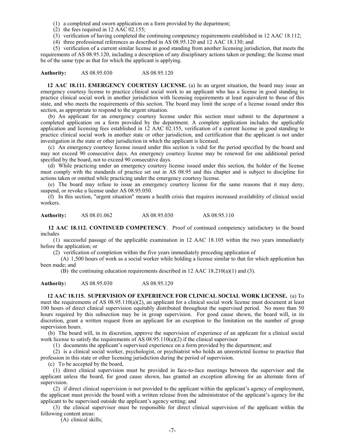(1) a completed and sworn application on a form provided by the department;

(2) the fees required in 12 AAC 02.155;

(3) verification of having completed the continuing competency requirements established in 12 AAC 18.112;

(4) three professional references as described in AS 08.95.120 and 12 AAC 18.130; and

(5) verification of a current similar license in good standing from another licensing jurisdiction, that meets the requirements of AS 08.95.120, including a description of any disciplinary actions taken or pending; the license must be of the same type as that for which the applicant is applying.

**Authority:** AS 08.95.030 AS 08.95.120

**12 AAC 18.111. EMERGENCY COURTESY LICENSE.** (a) In an urgent situation, the board may issue an emergency courtesy license to practice clinical social work to an applicant who has a license in good standing to practice clinical social work in another jurisdiction with licensing requirements at least equivalent to those of this state, and who meets the requirements of this section. The board may limit the scope of a license issued under this section, as appropriate to respond to the urgent situation.

(b) An applicant for an emergency courtesy license under this section must submit to the department a completed application on a form provided by the department. A complete application includes the applicable application and licensing fees established in 12 AAC 02.155, verification of a current license in good standing to practice clinical social work in another state or other jurisdiction, and certification that the applicant is not under investigation in the state or other jurisdiction in which the applicant is licensed.

(c) An emergency courtesy license issued under this section is valid for the period specified by the board and may not exceed 90 consecutive days. An emergency courtesy license may be renewed for one additional period specified by the board, not to exceed 90 consecutive days.

(d) While practicing under an emergency courtesy license issued under this section, the holder of the license must comply with the standards of practice set out in AS 08.95 and this chapter and is subject to discipline for actions taken or omitted while practicing under the emergency courtesy license.

(e) The board may refuse to issue an emergency courtesy license for the same reasons that it may deny, suspend, or revoke a license under AS 08.95.050.

(f) In this section, "urgent situation" means a health crisis that requires increased availability of clinical social workers.

**Authority:** AS 08.01.062 AS 08.95.030 AS 08.95.110

**12 AAC 18.112. CONTINUED COMPETENCY**. Proof of continued competency satisfactory to the board includes

(1) successful passage of the applicable examination in 12 AAC 18.105 within the two years immediately before the application; or

(2) verification of completion within the five years immediately preceding application of

(A) 1,500 hours of work as a social worker while holding a license similar to that for which application has been made; and

(B) the continuing education requirements described in 12 AAC  $18.210(a)(1)$  and (3).

**Authority:** AS 08.95.030 AS 08.95.120

**12 AAC 18.115. SUPERVISION OF EXPERIENCE FOR CLINICAL SOCIAL WORK LICENSE.** (a) To meet the requirements of AS 08.95.110(a)(2), an applicant for a clinical social work license must document at least 100 hours of direct clinical supervision equitably distributed throughout the supervised period. No more than 50 hours required by this subsection may be in group supervision. For good cause shown, the board will, in its discretion, grant a written request from an applicant for an exception to the limitation on the number of group supervision hours.

(b) The board will, in its discretion, approve the supervision of experience of an applicant for a clinical social work license to satisfy the requirements of AS  $08.95.110(a)(2)$  if the clinical supervisor

(1) documents the applicant's supervised experience on a form provided by the department; and

(2) is a clinical social worker, psychologist, or psychiatrist who holds an unrestricted license to practice that profession in this state or other licensing jurisdiction during the period of supervision.

(c) To be accepted by the board,

(1) direct clinical supervision must be provided in face-to-face meetings between the supervisor and the applicant unless the board, for good cause shown, has granted an exception allowing for an alternate form of supervision.

(2) if direct clinical supervision is not provided to the applicant within the applicant's agency of employment, the applicant must provide the board with a written release from the administrator of the applicant's agency for the applicant to be supervised outside the applicant's agency setting; and

(3) the clinical supervisor must be responsible for direct clinical supervision of the applicant within the following content areas:

(A) clinical skills;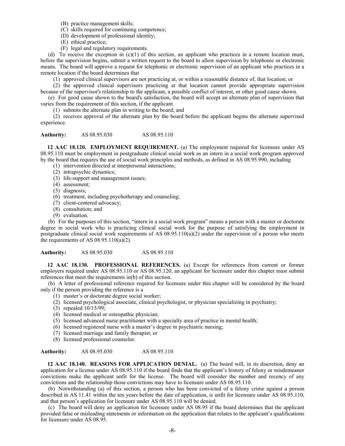- (B) practice management skills;
- (C) skills required for continuing competence;
- (D) development of professional identity;
- (E) ethical practice;
- (F) legal and regulatory requirements.

(d) To receive the exception in (c)(1) of this section, an applicant who practices in a remote location must, before the supervision begins, submit a written request to the board to allow supervision by telephonic or electronic means. The board will approve a request for telephonic or electronic supervision of an applicant who practices in a remote location if the board determines that

(1) approved clinical supervisors are not practicing at, or within a reasonable distance of, that location; or

(2) the approved clinical supervisors practicing at that location cannot provide appropriate supervision because of the supervisor's relationship to the applicant, a possible conflict of interest, or other good cause shown.

(e) For good cause shown to the board's satisfaction, the board will accept an alternate plan of supervision that varies from the requirement of this section, if the applicant

(1) submits the alternate plan in writing to the board; and

(2) receives approval of the alternate plan by the board before the applicant begins the alternate supervised experience.

**Authority:** AS 08.95.030 AS 08.95.110

**12 AAC 18.120. EMPLOYMENT REQUIREMENT.** (a) The employment required for licensure under AS 08.95.110 must be employment in postgraduate clinical social work as an intern in a social work program approved by the board that requires the use of social work principles and methods, as defined in AS 08.95.990, including

- (1) intervention directed at interpersonal interactions;
- (2) intrapsychic dynamics;
- (3) life-support and management issues;
- (4) assessment;
- (5) diagnosis;
- (6) treatment, including psychotherapy and counseling;
- (7) client-centered advocacy;
- (8) consultation; and
- (9) evaluation.

(b) For the purposes of this section, "intern in a social work program" means a person with a master or doctorate degree in social work who is practicing clinical social work for the purpose of satisfying the employment in postgraduate clinical social work requirements of AS 08.95.110(a)(2) under the supervision of a person who meets the requirements of AS  $08.95.110(a)(2)$ .

**Authority:** AS 08.95.030 AS 08.95.110

**12 AAC 18.130. PROFESSIONAL REFERENCES.** (a) Except for references from current or former employers required under AS 08.95.110 or AS 08.95.120, an applicant for licensure under this chapter must submit references that meet the requirements in(b) of this section.

(b) A letter of professional reference required for licensure under this chapter will be considered by the board only if the person providing the reference is a

- (1) master's or doctorate degree social worker;
- (2) licensed psychological associate, clinical psychologist, or physician specializing in psychiatry;
- (3) repealed 10/15/99;
- (4) licensed medical or osteopathic physician;
- (5) licensed advanced nurse practitioner with a specialty area of practice in mental health;
- (6) licensed registered nurse with a master's degree in psychiatric nursing;
- (7) licensed marriage and family therapist; or
- (8) licensed professional counselor.

**Authority:** AS 08.95.030 AS 08.95.110

**12 AAC 18.140. REASONS FOR APPLICATION DENIAL.** (a) The board will, in its discretion, deny an application for a license under AS 08.95.110 if the board finds that the applicant's history of felony or misdemeanor convictions make the applicant unfit for the license. The board will consider the number and recency of any convictions and the relationship those convictions may have to licensure under AS 08.95.110.

(b) Notwithstanding (a) of this section, a person who has been convicted of a felony crime against a person described in AS 11.41 within the ten years before the date of application, is unfit for licensure under AS 08.95.110, and that person's application for licensure under AS 08.95.110 will be denied.

(c) The board will deny an application for licensure under AS 08.95 if the board determines that the applicant provided false or misleading statements or information on the application that relates to the applicant's qualifications for licensure under AS 08.95.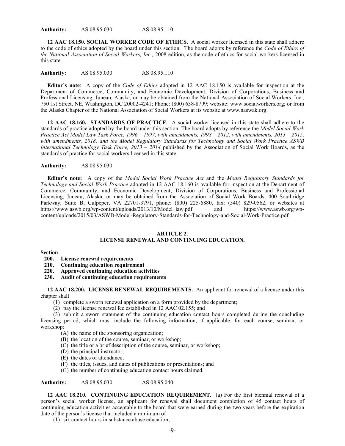**Authority:** AS 08.95.030 AS 08.95.110

**12 AAC 18.150. SOCIAL WORKER CODE OF ETHICS.** A social worker licensed in this state shall adhere to the code of ethics adopted by the board under this section. The board adopts by reference the *Code of Ethics of the National Association of Social Workers, Inc.,* 2008 edition, as the code of ethics for social workers licensed in this state.

**Authority:** AS 08.95.030 AS 08.95.110

**Editor's note**: A copy of the *Code of Ethics* adopted in 12 AAC 18.150 is available for inspection at the Department of Commerce, Community, and Economic Development, Division of Corporations, Business and Professional Licensing, Juneau, Alaska, or may be obtained from the National Association of Social Workers, Inc., 750 1st Street, NE, Washington, DC 20002-4241; Phone: (800) 638-8799; website: www.socialworkers.org; or from the Alaska Chapter of the National Association of Social Workers at its website at www.naswak.org.

**12 AAC 18.160. STANDARDS OF PRACTICE.** A social worker licensed in this state shall adhere to the standards of practice adopted by the board under this section. The board adopts by reference the *Model Social Work Practice Act Model Law Task Force, 1996 – 1997, with amendments, 1998 – 2012, with amendments, 2013 – 2015, with amendments, 2018, and the Model Regulatory Standards for Technology and Social Work Practice ASWB International Technology Task Force, 2013 – 2014* published by the Association of Social Work Boards, as the standards of practice for social workers licensed in this state.

## **Authority:** AS 08.95.030

**Editor's note:** A copy of the *Model Social Work Practice Act* and the *Model Regulatory Standards for Technology and Social Work Practice* adopted in 12 AAC 18.160 is available for inspection at the Department of Commerce, Community, and Economic Development, Division of Corporations, Business and Professional Licensing, Juneau, Alaska, or may be obtained from the Association of Social Work Boards, 400 Southridge Parkway, Suite B, Culpeper, VA 22701-3791, phone: (800) 225-6880, fax: (540) 829-0562, or websites at https://www.aswb.org/wp-content/uploads/2013/10/Model\_law.pdf and https://www.aswb.org/wpcontent/uploads/2015/03/ASWB-Model-Regulatory-Standards-for-Technology-and-Social-Work-Practice.pdf.

#### **ARTICLE 2.**

# **LICENSE RENEWAL AND CONTINUING EDUCATION.**

#### **Section**

- **200. License renewal requirements**
- **210. Continuing education requirement**
- **220. Approved continuing education activities**
- **230. Audit of continuing education requirements**

**12 AAC 18.200. LICENSE RENEWAL REQUIREMENTS.** An applicant for renewal of a license under this chapter shall

- (1) complete a sworn renewal application on a form provided by the department;
- (2) pay the license renewal fee established in 12 AAC 02.155; and

(3) submit a sworn statement of the continuing education contact hours completed during the concluding licensing period, which must include the following information, if applicable, for each course, seminar, or workshop:

- (A) the name of the sponsoring organization;
- (B) the location of the course, seminar, or workshop;
- (C) the title or a brief description of the course, seminar, or workshop;
- (D) the principal instructor;
- (E) the dates of attendance;
- (F) the titles, issues, and dates of publications or presentations; and
- (G) the number of continuing education contact hours claimed.

**Authority:** AS 08.95.030 AS 08.95.040

**12 AAC 18.210. CONTINUING EDUCATION REQUIREMENT.** (a) For the first biennial renewal of a person's social worker license, an applicant for renewal shall document completion of 45 contact hours of continuing education activities acceptable to the board that were earned during the two years before the expiration date of the person's license that included a minimum of

(1) six contact hours in substance abuse education;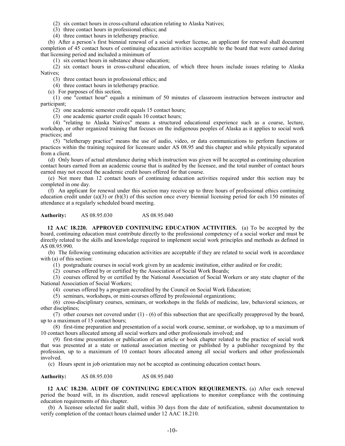(2) six contact hours in cross-cultural education relating to Alaska Natives;

(3) three contact hours in professional ethics; and

(4) three contact hours in teletherapy practice.

(b) After a person's first biennial renewal of a social worker license, an applicant for renewal shall document completion of 45 contact hours of continuing education activities acceptable to the board that were earned during that licensing period and included a minimum of

(1) six contact hours in substance abuse education;

(2) six contact hours in cross-cultural education, of which three hours include issues relating to Alaska Natives;

(3) three contact hours in professional ethics; and

(4) three contact hours in teletherapy practice.

(c) For purposes of this section,

(1) one "contact hour" equals a minimum of 50 minutes of classroom instruction between instructor and participant;

(2) one academic semester credit equals 15 contact hours;

(3) one academic quarter credit equals 10 contact hours;

(4) "relating to Alaska Natives" means a structured educational experience such as a course, lecture, workshop, or other organized training that focuses on the indigenous peoples of Alaska as it applies to social work practices; and

(5) "teletherapy practice" means the use of audio, video, or data communications to perform functions or practices within the training required for licensure under AS 08.95 and this chapter and while physically separated from a client.

(d) Only hours of actual attendance during which instruction was given will be accepted as continuing education contact hours earned from an academic course that is audited by the licensee, and the total number of contact hours earned may not exceed the academic credit hours offered for that course.

(e) Not more than 12 contact hours of continuing education activities required under this section may be completed in one day.

(f) An applicant for renewal under this section may receive up to three hours of professional ethics continuing education credit under (a)(3) or (b)(3) of this section once every biennial licensing period for each 150 minutes of attendance at a regularly scheduled board meeting.

**Authority:** AS 08.95.030 AS 08.95.040

**12 AAC 18.220. APPROVED CONTINUING EDUCATION ACTIVITIES.** (a) To be accepted by the board, continuing education must contribute directly to the professional competency of a social worker and must be directly related to the skills and knowledge required to implement social work principles and methods as defined in AS 08.95.990.

(b) The following continuing education activities are acceptable if they are related to social work in accordance with (a) of this section:

(1) postgraduate courses in social work given by an academic institution, either audited or for credit;

(2) courses offered by or certified by the Association of Social Work Boards;

(3) courses offered by or certified by the National Association of Social Workers or any state chapter of the National Association of Social Workers;

(4) courses offered by a program accredited by the Council on Social Work Education;

(5) seminars, workshops, or mini-courses offered by professional organizations;

(6) cross-disciplinary courses, seminars, or workshops in the fields of medicine, law, behavioral sciences, or other disciplines;

(7) other courses not covered under (1) - (6) of this subsection that are specifically preapproved by the board, up to a maximum of 15 contact hours;

(8) first-time preparation and presentation of a social work course, seminar, or workshop, up to a maximum of 10 contact hours allocated among all social workers and other professionals involved; and

(9) first-time presentation or publication of an article or book chapter related to the practice of social work that was presented at a state or national association meeting or published by a publisher recognized by the profession, up to a maximum of 10 contact hours allocated among all social workers and other professionals involved.

(c) Hours spent in job orientation may not be accepted as continuing education contact hours.

**Authority:** AS 08.95.030 AS 08.95.040

**12 AAC 18.230. AUDIT OF CONTINUING EDUCATION REQUIREMENTS.** (a) After each renewal period the board will, in its discretion, audit renewal applications to monitor compliance with the continuing education requirements of this chapter.

(b) A licensee selected for audit shall, within 30 days from the date of notification, submit documentation to verify completion of the contact hours claimed under 12 AAC 18.210.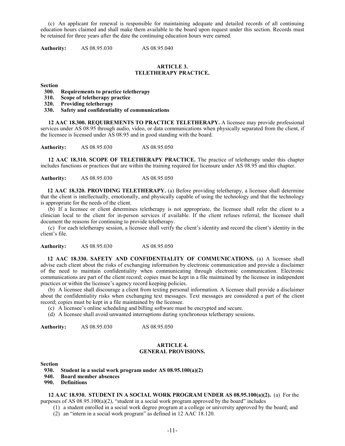(c) An applicant for renewal is responsible for maintaining adequate and detailed records of all continuing education hours claimed and shall make them available to the board upon request under this section. Records must be retained for three years after the date the continuing education hours were earned.

**Authority:** AS 08.95.030 AS 08.95.040

#### **ARTICLE 3. TELETHERAPY PRACTICE.**

**Section**

**300. Requirements to practice teletherapy**

- **310. Scope of teletherapy practice**
- **320. Providing teletherapy**
- **330. Safety and confidentiality of communications**

**12 AAC 18.300. REQUIREMENTS TO PRACTICE TELETHERAPY.** A licensee may provide professional services under AS 08.95 through audio, video, or data communications when physically separated from the client, if the licensee is licensed under AS 08.95 and in good standing with the board.

**Authority:** AS 08.95.030 AS 08.95.050

**12 AAC 18.310. SCOPE OF TELETHERAPY PRACTICE.** The practice of teletherapy under this chapter includes functions or practices that are within the training required for licensure under AS 08.95 and this chapter.

**Authority:** AS 08.95.030 AS 08.95.050

**12 AAC 18.320. PROVIDING TELETHERAPY.** (a) Before providing teletherapy, a licensee shall determine that the client is intellectually, emotionally, and physically capable of using the technology and that the technology is appropriate for the needs of the client.

(b) If a licensee or client determines teletherapy is not appropriate, the licensee shall refer the client to a clinician local to the client for in-person services if available. If the client refuses referral, the licensee shall document the reasons for continuing to provide teletherapy.

(c) For each teletherapy session, a licensee shall verify the client's identity and record the client's identity in the client's file.

**Authority:** AS 08.95.030 AS 08.95.050

**12 AAC 18.330. SAFETY AND CONFIDENTIALITY OF COMMUNICATIONS.** (a) A licensee shall advise each client about the risks of exchanging information by electronic communication and provide a disclaimer of the need to maintain confidentiality when communicating through electronic communication. Electronic communications are part of the client record; copies must be kept in a file maintained by the licensee in independent practices or within the licensee's agency record keeping policies.

(b) A licensee shall discourage a client from texting personal information. A licensee shall provide a disclaimer about the confidentiality risks when exchanging text messages. Text messages are considered a part of the client record; copies must be kept in a file maintained by the licensee.

(c) A licensee's online scheduling and billing software must be encrypted and secure.

(d) A licensee shall avoid unwanted interruptions during synchronous teletherapy sessions.

**Authority:** AS 08.95.030 AS 08.95.050

#### **ARTICLE 4. GENERAL PROVISIONS.**

**Section**

- **930. Student in a social work program under AS 08.95.100(a)(2)**
- **940. Board member absences**
- **990. Definitions**

**12 AAC 18.930. STUDENT IN A SOCIAL WORK PROGRAM UNDER AS 08.95.100(a)(2).** (a) For the purposes of AS 08.95.100(a)(2), "student in a social work program approved by the board" includes

(1) a student enrolled in a social work degree program at a college or university approved by the board; and

(2) an "intern in a social work program" as defined in 12 AAC 18.120.